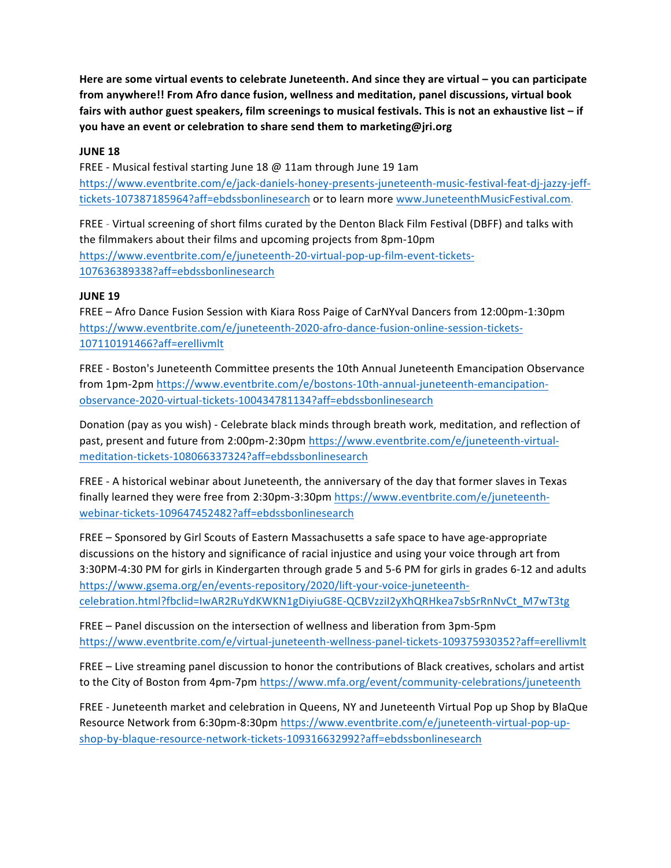Here are some virtual events to celebrate Juneteenth. And since they are virtual – you can participate from anywhere!! From Afro dance fusion, wellness and meditation, panel discussions, virtual book fairs with author guest speakers, film screenings to musical festivals. This is not an exhaustive list – if **you have an event or celebration to share send them to marketing@jri.org** 

## **JUNE 18**

FREE - Musical festival starting June 18  $@$  11am through June 19 1am https://www.eventbrite.com/e/jack-daniels-honey-presents-juneteenth-music-festival-feat-dj-jazzy-jefftickets-107387185964?aff=ebdssbonlinesearch or to learn more www.JuneteenthMusicFestival.com.

FREE - Virtual screening of short films curated by the Denton Black Film Festival (DBFF) and talks with the filmmakers about their films and upcoming projects from 8pm-10pm https://www.eventbrite.com/e/juneteenth-20-virtual-pop-up-film-event-tickets-107636389338?aff=ebdssbonlinesearch

## **JUNE 19**

FREE - Afro Dance Fusion Session with Kiara Ross Paige of CarNYval Dancers from 12:00pm-1:30pm https://www.eventbrite.com/e/juneteenth-2020-afro-dance-fusion-online-session-tickets-107110191466?aff=erellivmlt

FREE - Boston's Juneteenth Committee presents the 10th Annual Juneteenth Emancipation Observance from 1pm-2pm https://www.eventbrite.com/e/bostons-10th-annual-juneteenth-emancipationobservance-2020-virtual-tickets-100434781134?aff=ebdssbonlinesearch

Donation (pay as you wish) - Celebrate black minds through breath work, meditation, and reflection of past, present and future from 2:00pm-2:30pm https://www.eventbrite.com/e/juneteenth-virtualmeditation-tickets-108066337324?aff=ebdssbonlinesearch

FREE - A historical webinar about Juneteenth, the anniversary of the day that former slaves in Texas finally learned they were free from 2:30pm-3:30pm https://www.eventbrite.com/e/juneteenthwebinar-tickets-109647452482?aff=ebdssbonlinesearch

FREE – Sponsored by Girl Scouts of Eastern Massachusetts a safe space to have age-appropriate discussions on the history and significance of racial injustice and using your voice through art from 3:30PM-4:30 PM for girls in Kindergarten through grade 5 and 5-6 PM for girls in grades 6-12 and adults https://www.gsema.org/en/events-repository/2020/lift-your-voice-juneteenthcelebration.html?fbclid=IwAR2RuYdKWKN1gDiyiuG8E-QCBVzziI2yXhQRHkea7sbSrRnNvCt\_M7wT3tg

FREE – Panel discussion on the intersection of wellness and liberation from 3pm-5pm https://www.eventbrite.com/e/virtual-juneteenth-wellness-panel-tickets-109375930352?aff=erellivmlt

FREE – Live streaming panel discussion to honor the contributions of Black creatives, scholars and artist to the City of Boston from 4pm-7pm https://www.mfa.org/event/community-celebrations/juneteenth

FREE - Juneteenth market and celebration in Queens, NY and Juneteenth Virtual Pop up Shop by BlaQue Resource Network from 6:30pm-8:30pm https://www.eventbrite.com/e/juneteenth-virtual-pop-upshop-by-blaque-resource-network-tickets-109316632992?aff=ebdssbonlinesearch